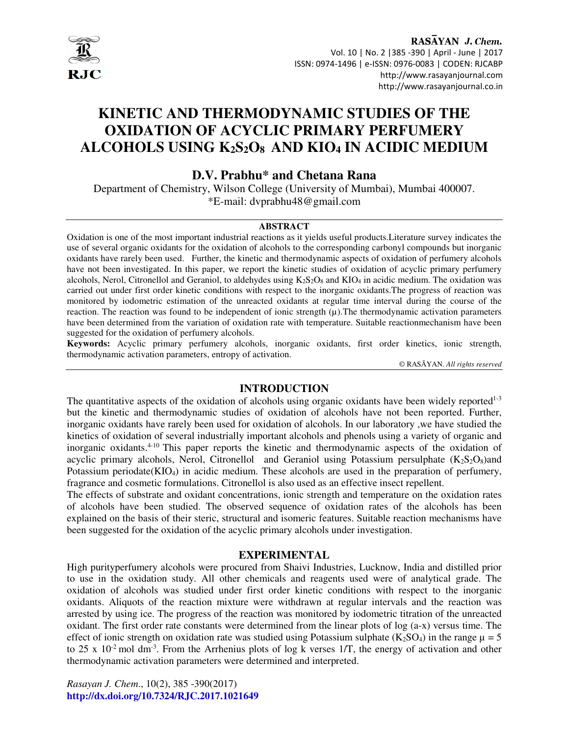

RASAYAN J. Chem. Vol. 10 | No. 2 |385 -390 | April - June | 2017 ISSN: 0974-1496 | e-ISSN: 0976-0083 | CODEN: RJCABP http://www.rasayanjournal.com http://www.rasayanjournal.co.in

# **KINETIC AND THERMODYNAMIC STUDIES OF THE OXIDATION OF ACYCLIC PRIMARY PERFUMERY ALCOHOLS USING K2S2O8 AND KIO4 IN ACIDIC MEDIUM**

**D.V. Prabhu\* and Chetana Rana**

Department of Chemistry, Wilson College (University of Mumbai), Mumbai 400007. \*E-mail: dvprabhu48@gmail.com

# **ABSTRACT**

Oxidation is one of the most important industrial reactions as it yields useful products.Literature survey indicates the use of several organic oxidants for the oxidation of alcohols to the corresponding carbonyl compounds but inorganic oxidants have rarely been used. Further, the kinetic and thermodynamic aspects of oxidation of perfumery alcohols have not been investigated. In this paper, we report the kinetic studies of oxidation of acyclic primary perfumery alcohols, Nerol, Citronellol and Geraniol, to aldehydes using  $K_2S_2O_8$  and  $KIO_4$  in acidic medium. The oxidation was carried out under first order kinetic conditions with respect to the inorganic oxidants.The progress of reaction was monitored by iodometric estimation of the unreacted oxidants at regular time interval during the course of the reaction. The reaction was found to be independent of ionic strength  $(\mu)$ . The thermodynamic activation parameters have been determined from the variation of oxidation rate with temperature. Suitable reactionmechanism have been suggested for the oxidation of perfumery alcohols.

**Keywords:** Acyclic primary perfumery alcohols, inorganic oxidants, first order kinetics, ionic strength, thermodynamic activation parameters, entropy of activation.

© RASĀYAN. *All rights reserved*

# **INTRODUCTION**

The quantitative aspects of the oxidation of alcohols using organic oxidants have been widely reported<sup>1-3</sup> but the kinetic and thermodynamic studies of oxidation of alcohols have not been reported. Further, inorganic oxidants have rarely been used for oxidation of alcohols. In our laboratory ,we have studied the kinetics of oxidation of several industrially important alcohols and phenols using a variety of organic and inorganic oxidants.<sup>4-10</sup> This paper reports the kinetic and thermodynamic aspects of the oxidation of acyclic primary alcohols, Nerol, Citronellol and Geraniol using Potassium persulphate  $(K_2S_2O_8)$ and Potassium periodate(KIO<sub>4</sub>) in acidic medium. These alcohols are used in the preparation of perfumery, fragrance and cosmetic formulations. Citronellol is also used as an effective insect repellent.

The effects of substrate and oxidant concentrations, ionic strength and temperature on the oxidation rates of alcohols have been studied. The observed sequence of oxidation rates of the alcohols has been explained on the basis of their steric, structural and isomeric features. Suitable reaction mechanisms have been suggested for the oxidation of the acyclic primary alcohols under investigation.

# **EXPERIMENTAL**

High purityperfumery alcohols were procured from Shaivi Industries, Lucknow, India and distilled prior to use in the oxidation study. All other chemicals and reagents used were of analytical grade. The oxidation of alcohols was studied under first order kinetic conditions with respect to the inorganic oxidants. Aliquots of the reaction mixture were withdrawn at regular intervals and the reaction was arrested by using ice. The progress of the reaction was monitored by iodometric titration of the unreacted oxidant. The first order rate constants were determined from the linear plots of log (a-x) versus time. The effect of ionic strength on oxidation rate was studied using Potassium sulphate (K<sub>2</sub>SO<sub>4</sub>) in the range  $\mu = 5$ to 25 x  $10^{-2}$  mol dm<sup>-3</sup>. From the Arrhenius plots of log k verses  $1/T$ , the energy of activation and other thermodynamic activation parameters were determined and interpreted.

*Rasayan J. Chem*., 10(2), 385 -390(2017) **http://dx.doi.org/10.7324/RJC.2017.1021649**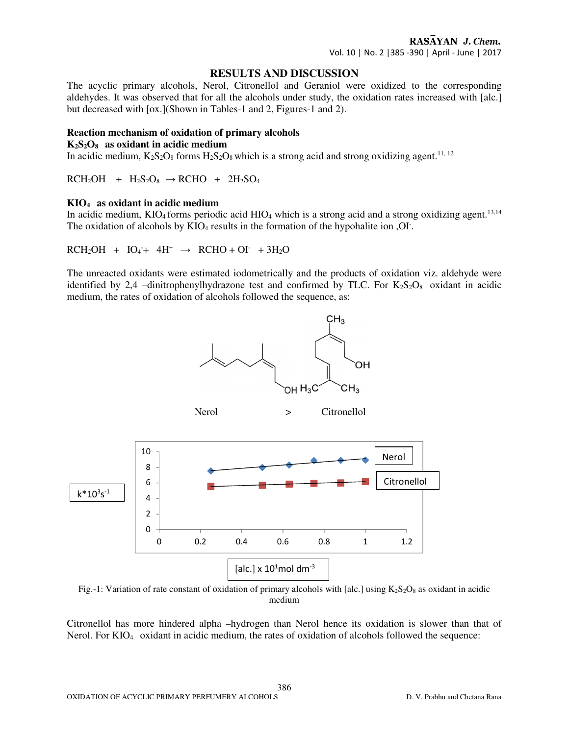# **RESULTS AND DISCUSSION**

The acyclic primary alcohols, Nerol, Citronellol and Geraniol were oxidized to the corresponding aldehydes. It was observed that for all the alcohols under study, the oxidation rates increased with [alc.] but decreased with [ox.](Shown in Tables-1 and 2, Figures-1 and 2).

## **Reaction mechanism of oxidation of primary alcohols**

#### **K2S2O8 as oxidant in acidic medium**

In acidic medium,  $K_2S_2O_8$  forms  $H_2S_2O_8$  which is a strong acid and strong oxidizing agent.<sup>11, 12</sup>

 $RCH_2OH + H_2S_2O_8 \rightarrow RCHO + 2H_2SO_4$ 

## **KIO4 as oxidant in acidic medium**

In acidic medium, KIO<sub>4</sub> forms periodic acid HIO<sub>4</sub> which is a strong acid and a strong oxidizing agent.<sup>13,14</sup> The oxidation of alcohols by  $KIO<sub>4</sub>$  results in the formation of the hypohalite ion ,OI.

 $RCH_2OH + IO_4 + 4H^+ \rightarrow RCHO + OI^+ + 3H_2O$ 

The unreacted oxidants were estimated iodometrically and the products of oxidation viz. aldehyde were identified by 2,4 –dinitrophenylhydrazone test and confirmed by TLC. For  $K_2S_2O_8$  oxidant in acidic medium, the rates of oxidation of alcohols followed the sequence, as:

 $CH<sub>3</sub>$ 



Fig.-1: Variation of rate constant of oxidation of primary alcohols with [alc.] using  $K_2S_2O_8$  as oxidant in acidic medium

Citronellol has more hindered alpha –hydrogen than Nerol hence its oxidation is slower than that of Nerol. For KIO<sub>4</sub> oxidant in acidic medium, the rates of oxidation of alcohols followed the sequence:

386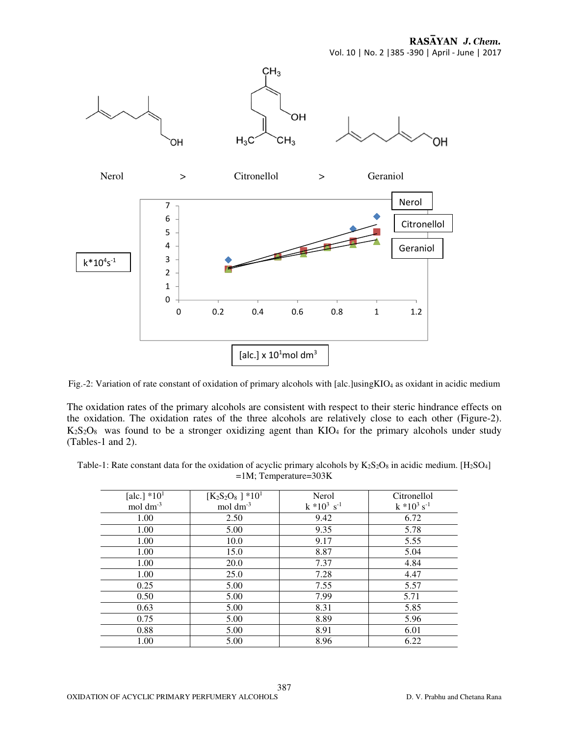RASAYAN J. Chem. Vol. 10 | No. 2 |385 -390 | April - June | 2017



Fig.-2: Variation of rate constant of oxidation of primary alcohols with [alc.]usingKIO<sub>4</sub> as oxidant in acidic medium

The oxidation rates of the primary alcohols are consistent with respect to their steric hindrance effects on the oxidation. The oxidation rates of the three alcohols are relatively close to each other (Figure-2).  $K_2S_2O_8$  was found to be a stronger oxidizing agent than  $KIO_4$  for the primary alcohols under study (Tables-1 and 2).

Table-1: Rate constant data for the oxidation of acyclic primary alcohols by  $K_2S_2O_8$  in acidic medium. [H<sub>2</sub>SO<sub>4</sub>] =1M; Temperature=303K

| [alc.] $*101$           | $[K_2S_2O_8]$ *10 <sup>1</sup> | Nerol             | Citronellol       |
|-------------------------|--------------------------------|-------------------|-------------------|
| $mol \, \text{dm}^{-3}$ | mol $dm^{-3}$                  | $k * 10^3 s^{-1}$ | $k * 10^3 s^{-1}$ |
| 1.00                    | 2.50                           | 9.42              | 6.72              |
| 1.00                    | 5.00                           | 9.35              | 5.78              |
| 1.00                    | 10.0                           | 9.17              | 5.55              |
| 1.00                    | 15.0                           | 8.87              | 5.04              |
| 1.00                    | 20.0                           | 7.37              | 4.84              |
| 1.00                    | 25.0                           | 7.28              | 4.47              |
| 0.25                    | 5.00                           | 7.55              | 5.57              |
| 0.50                    | 5.00                           | 7.99              | 5.71              |
| 0.63                    | 5.00                           | 8.31              | 5.85              |
| 0.75                    | 5.00                           | 8.89              | 5.96              |
| 0.88                    | 5.00                           | 8.91              | 6.01              |
| 1.00                    | 5.00                           | 8.96              | 6.22              |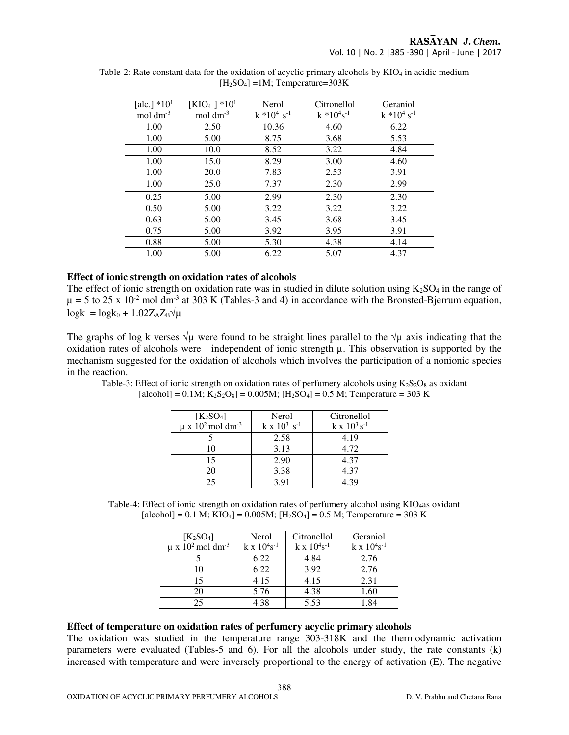| [alc.] $*101$        | $[KIO_4] * 10^1$       | Nerol               | Citronellol         | Geraniol      |
|----------------------|------------------------|---------------------|---------------------|---------------|
| $mol \, \text{dm}^3$ | $mol \, \text{dm}^{3}$ | $k * 10^{4} s^{-1}$ | $k * 10^{4} s^{-1}$ | $k * 104 s-1$ |
| 1.00                 | 2.50                   | 10.36               | 4.60                | 6.22          |
| 1.00                 | 5.00                   | 8.75                | 3.68                | 5.53          |
| 1.00                 | 10.0                   | 8.52                | 3.22                | 4.84          |
| 1.00                 | 15.0                   | 8.29                | 3.00                | 4.60          |
| 1.00                 | 20.0                   | 7.83                | 2.53                | 3.91          |
| 1.00                 | 25.0                   | 7.37                | 2.30                | 2.99          |
| 0.25                 | 5.00                   | 2.99                | 2.30                | 2.30          |
| 0.50                 | 5.00                   | 3.22                | 3.22                | 3.22          |
| 0.63                 | 5.00                   | 3.45                | 3.68                | 3.45          |
| 0.75                 | 5.00                   | 3.92                | 3.95                | 3.91          |
| 0.88                 | 5.00                   | 5.30                | 4.38                | 4.14          |
| 1.00                 | 5.00                   | 6.22                | 5.07                | 4.37          |

Table-2: Rate constant data for the oxidation of acyclic primary alcohols by KIO<sub>4</sub> in acidic medium  $[H<sub>2</sub>SO<sub>4</sub>] = 1M$ ; Temperature=303K

#### **Effect of ionic strength on oxidation rates of alcohols**

The effect of ionic strength on oxidation rate was in studied in dilute solution using  $K_2SO_4$  in the range of  $\mu$  = 5 to 25 x 10<sup>-2</sup> mol dm<sup>-3</sup> at 303 K (Tables-3 and 4) in accordance with the Bronsted-Bjerrum equation,  $log k = log k_0 + 1.02 Z_A Z_B \sqrt{\mu}$ 

The graphs of log k verses  $\sqrt{\mu}$  were found to be straight lines parallel to the  $\sqrt{\mu}$  axis indicating that the oxidation rates of alcohols were independent of ionic strength µ. This observation is supported by the mechanism suggested for the oxidation of alcohols which involves the participation of a nonionic species in the reaction.

Table-3: Effect of ionic strength on oxidation rates of perfumery alcohols using  $K_2S_2O_8$  as oxidant  $[a! [a] \text{cohol}] = 0.1 M; K_2 S_2 O_8] = 0.005 M; [H_2 SO_4] = 0.5 M;$  Temperature = 303 K

| $K_2SO_4$<br>$\mu$ x 10 <sup>2</sup> mol dm <sup>-3</sup> | Nerol<br>$k \times 10^3 \text{ s}^{-1}$ | Citronellol<br>$k \times 10^3 s^{-1}$ |
|-----------------------------------------------------------|-----------------------------------------|---------------------------------------|
|                                                           | 2.58                                    | 4.19                                  |
| 10                                                        | 3.13                                    | 4.72                                  |
| 15                                                        | 2.90                                    | 4.37                                  |
| 20                                                        | 3.38                                    | 4.37                                  |
| つう                                                        | 391                                     | 4 39                                  |

Table-4: Effect of ionic strength on oxidation rates of perfumery alcohol using KIO<sub>4</sub>as oxidant  $[a! [a] \text{cohol}] = 0.1 \text{ M}; KIO_4] = 0.005 \text{M}; [H_2SO_4] = 0.5 \text{ M};$  Temperature = 303 K

| $[K_2SO_4]$                                  | Nerol                    | Citronellol              | Geraniol                 |
|----------------------------------------------|--------------------------|--------------------------|--------------------------|
| $\mu$ x 10 <sup>2</sup> mol dm <sup>-3</sup> | $k \times 10^{4} s^{-1}$ | $k \times 10^{4} s^{-1}$ | $k \times 10^{4} s^{-1}$ |
|                                              | 6.22                     | 4.84                     | 2.76                     |
| 10                                           | 6.22                     | 3.92                     | 2.76                     |
| 15                                           | 4.15                     | 4.15                     | 2.31                     |
| 20                                           | 5.76                     | 4.38                     | 1.60                     |
| 25                                           | 4.38                     | 5.53                     | -84                      |

## **Effect of temperature on oxidation rates of perfumery acyclic primary alcohols**

The oxidation was studied in the temperature range 303-318K and the thermodynamic activation parameters were evaluated (Tables-5 and 6). For all the alcohols under study, the rate constants (k) increased with temperature and were inversely proportional to the energy of activation (E). The negative

388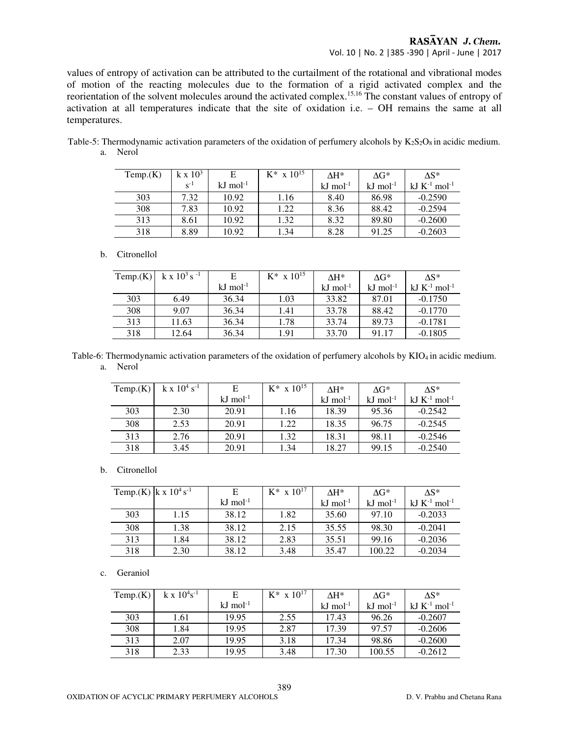# RASAYAN J. Chem. Vol. 10 | No. 2 |385 -390 | April - June | 2017

values of entropy of activation can be attributed to the curtailment of the rotational and vibrational modes of motion of the reacting molecules due to the formation of a rigid activated complex and the reorientation of the solvent molecules around the activated complex.15,16 The constant values of entropy of activation at all temperatures indicate that the site of oxidation i.e. – OH remains the same at all temperatures.

| Temp.(K) | $k \times 10^3$ | E                      | $K^*$ x $10^{15}$ | $\Delta H^*$           | $\Delta G^*$           | $\Delta S^*$                  |
|----------|-----------------|------------------------|-------------------|------------------------|------------------------|-------------------------------|
|          | $S^{-1}$        | $kJ$ mol <sup>-1</sup> |                   | $kJ$ mol <sup>-1</sup> | $kJ$ mol <sup>-1</sup> | kJ $K^{-1}$ mol <sup>-1</sup> |
| 303      | 7.32            | 10.92                  | 1.16              | 8.40                   | 86.98                  | $-0.2590$                     |
| 308      | 7.83            | 10.92                  | 1.22              | 8.36                   | 88.42                  | $-0.2594$                     |
| 313      | 8.61            | 10.92                  | 1.32              | 8.32                   | 89.80                  | $-0.2600$                     |
| 318      | 8.89            | 10.92                  | 1.34              | 8.28                   | 91.25                  | $-0.2603$                     |

Table-5: Thermodynamic activation parameters of the oxidation of perfumery alcohols by  $K_2S_2O_8$  in acidic medium. a. Nerol

#### b. Citronellol

| Temp.(K) | k x $10^3$ s <sup>-1</sup> | Е                     | $K^*$ x $10^{15}$ | $\Lambda$ H*           | $\Delta G^*$           | $\Lambda$ S*                  |
|----------|----------------------------|-----------------------|-------------------|------------------------|------------------------|-------------------------------|
|          |                            | $kJ \text{ mol}^{-1}$ |                   | $kJ$ mol <sup>-1</sup> | $kJ$ mol <sup>-1</sup> | kJ $K^{-1}$ mol <sup>-1</sup> |
| 303      | 6.49                       | 36.34                 | 1.03              | 33.82                  | 87.01                  | $-0.1750$                     |
| 308      | 9.07                       | 36.34                 | 1.41              | 33.78                  | 88.42                  | $-0.1770$                     |
| 313      | 11.63                      | 36.34                 | 1.78              | 33.74                  | 89.73                  | $-0.1781$                     |
| 318      | 12.64                      | 36.34                 | 1.91              | 33.70                  | 91.17                  | $-0.1805$                     |

Table-6: Thermodynamic activation parameters of the oxidation of perfumery alcohols by KIO4 in acidic medium. a. Nerol

| Temp.(K) | $k \times 10^4$ s <sup>-1</sup> |                        | $K^*$ x $10^{15}$ | $\Lambda$ H*           | $\Delta G^*$           | $\Lambda$ S*                  |
|----------|---------------------------------|------------------------|-------------------|------------------------|------------------------|-------------------------------|
|          |                                 | $kJ$ mol <sup>-1</sup> |                   | $kJ$ mol <sup>-1</sup> | $kJ$ mol <sup>-1</sup> | kJ $K^{-1}$ mol <sup>-1</sup> |
| 303      | 2.30                            | 20.91                  | 1.16              | 18.39                  | 95.36                  | $-0.2542$                     |
| 308      | 2.53                            | 20.91                  | 1.22              | 18.35                  | 96.75                  | $-0.2545$                     |
| 313      | 2.76                            | 20.91                  | 1.32              | 18.31                  | 98.11                  | $-0.2546$                     |
| 318      | 3.45                            | 20.91                  | 1.34              | 18.27                  | 99.15                  | $-0.2540$                     |

#### b. Citronellol

| Temp.(K)   k x $10^4$ s <sup>-1</sup> |      | E                      | $K^*$ x $10^{17}$ | $\Lambda$ H*           | $\Delta G^*$           | $\Delta S^*$                  |
|---------------------------------------|------|------------------------|-------------------|------------------------|------------------------|-------------------------------|
|                                       |      | $kJ$ mol <sup>-1</sup> |                   | $kJ$ mol <sup>-1</sup> | $kJ$ mol <sup>-1</sup> | kJ $K^{-1}$ mol <sup>-1</sup> |
| 303                                   | 1.15 | 38.12                  | 1.82              | 35.60                  | 97.10                  | $-0.2033$                     |
| 308                                   | 1.38 | 38.12                  | 2.15              | 35.55                  | 98.30                  | $-0.2041$                     |
| 313                                   | 1.84 | 38.12                  | 2.83              | 35.51                  | 99.16                  | $-0.2036$                     |
| 318                                   | 2.30 | 38.12                  | 3.48              | 35.47                  | 100.22                 | $-0.2034$                     |

#### c. Geraniol

| Temp.(K) | $k \times 10^{4} s^{-1}$ |                        | $K^*$ x $10^{17}$ | $\Lambda$ H*           | $\Delta G^*$           | $\Lambda$ S*                  |
|----------|--------------------------|------------------------|-------------------|------------------------|------------------------|-------------------------------|
|          |                          | $kJ$ mol <sup>-1</sup> |                   | $kJ$ mol <sup>-1</sup> | $kJ$ mol <sup>-1</sup> | kJ $K^{-1}$ mol <sup>-1</sup> |
| 303      | 1.61                     | 19.95                  | 2.55              | 17.43                  | 96.26                  | $-0.2607$                     |
| 308      | 1.84                     | 19.95                  | 2.87              | 17.39                  | 97.57                  | $-0.2606$                     |
| 313      | 2.07                     | 19.95                  | 3.18              | 17.34                  | 98.86                  | $-0.2600$                     |
| 318      | 2.33                     | 19.95                  | 3.48              | 17.30                  | 100.55                 | $-0.2612$                     |

389